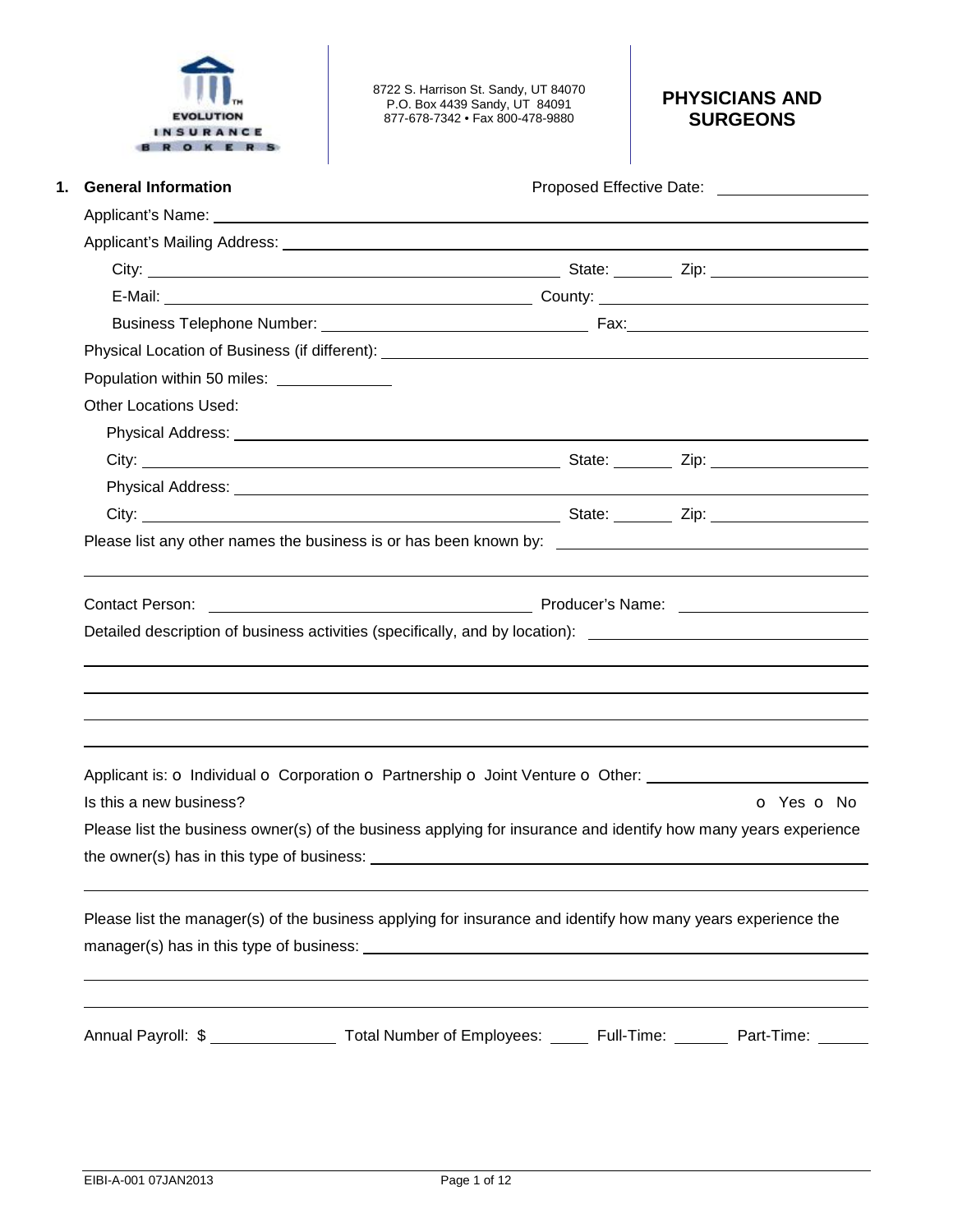

8722 S. Harrison St. Sandy, UT 84070 P.O. Box 4439 Sandy, UT 84091 877-678-7342 • Fax 800-478-9880

## **PHYSICIANS AND SURGEONS**

| <b>General Information</b>                                                                                                                                                                                                           |  |            |  |  |
|--------------------------------------------------------------------------------------------------------------------------------------------------------------------------------------------------------------------------------------|--|------------|--|--|
|                                                                                                                                                                                                                                      |  |            |  |  |
|                                                                                                                                                                                                                                      |  |            |  |  |
|                                                                                                                                                                                                                                      |  |            |  |  |
|                                                                                                                                                                                                                                      |  |            |  |  |
|                                                                                                                                                                                                                                      |  |            |  |  |
|                                                                                                                                                                                                                                      |  |            |  |  |
| Population within 50 miles: ______________                                                                                                                                                                                           |  |            |  |  |
| <b>Other Locations Used:</b>                                                                                                                                                                                                         |  |            |  |  |
| Physical Address: <u>Andreas Address and Address and Address and Address and Address and Address and Address and Address and Address and Address and Address and Address and Address and Address and Address and Address and Add</u> |  |            |  |  |
|                                                                                                                                                                                                                                      |  |            |  |  |
|                                                                                                                                                                                                                                      |  |            |  |  |
|                                                                                                                                                                                                                                      |  |            |  |  |
|                                                                                                                                                                                                                                      |  |            |  |  |
|                                                                                                                                                                                                                                      |  |            |  |  |
| Detailed description of business activities (specifically, and by location): ________________________________                                                                                                                        |  |            |  |  |
|                                                                                                                                                                                                                                      |  |            |  |  |
|                                                                                                                                                                                                                                      |  |            |  |  |
|                                                                                                                                                                                                                                      |  |            |  |  |
|                                                                                                                                                                                                                                      |  |            |  |  |
| Applicant is: o Individual o Corporation o Partnership o Joint Venture o Other: ____________________                                                                                                                                 |  |            |  |  |
| Is this a new business?                                                                                                                                                                                                              |  | O Yes O No |  |  |
| Please list the business owner(s) of the business applying for insurance and identify how many years experience                                                                                                                      |  |            |  |  |
|                                                                                                                                                                                                                                      |  |            |  |  |
| Please list the manager(s) of the business applying for insurance and identify how many years experience the                                                                                                                         |  |            |  |  |
|                                                                                                                                                                                                                                      |  |            |  |  |
|                                                                                                                                                                                                                                      |  |            |  |  |
|                                                                                                                                                                                                                                      |  |            |  |  |
| Annual Payroll: \$ ______________________ Total Number of Employees: _______ Full-Time: ________ Part-Time: ______                                                                                                                   |  |            |  |  |
|                                                                                                                                                                                                                                      |  |            |  |  |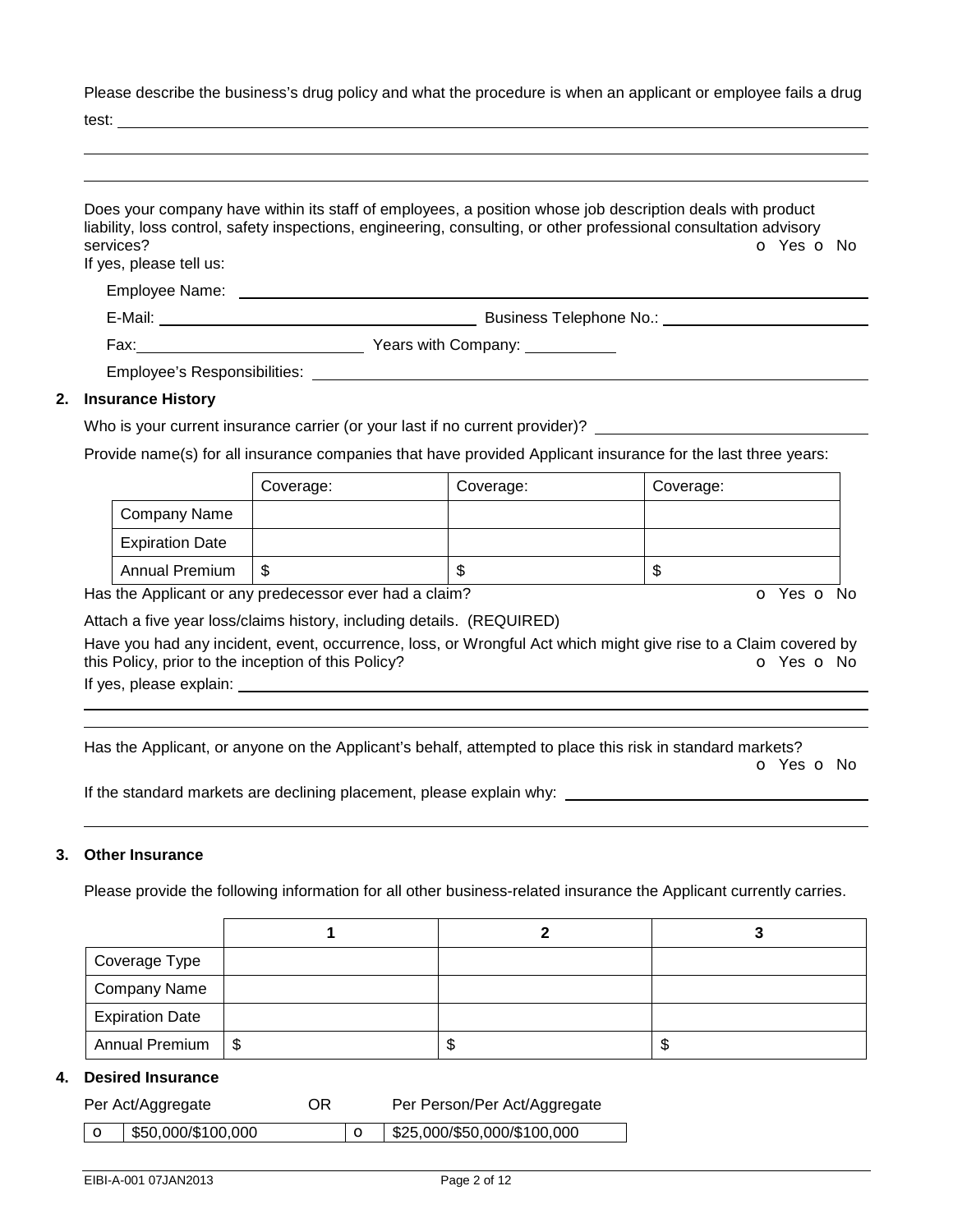Please describe the business's drug policy and what the procedure is when an applicant or employee fails a drug

test:

|                                      | Does your company have within its staff of employees, a position whose job description deals with product<br>liability, loss control, safety inspections, engineering, consulting, or other professional consultation advisory |
|--------------------------------------|--------------------------------------------------------------------------------------------------------------------------------------------------------------------------------------------------------------------------------|
| services?<br>If yes, please tell us: | O Yes O No                                                                                                                                                                                                                     |
|                                      |                                                                                                                                                                                                                                |
|                                      | Business Telephone No.: Note that the set of the set of the set of the set of the set of the set of the set of the set of the set of the set of the set of the set of the set of the set of the set of the set of the set of t |
|                                      |                                                                                                                                                                                                                                |
|                                      | Employee's Responsibilities: Note that the state of the state of the state of the state of the state of the state of the state of the state of the state of the state of the state of the state of the state of the state of t |
| 2. Insurance History                 |                                                                                                                                                                                                                                |
|                                      | Who is your current insurance carrier (or your last if no current provider)?                                                                                                                                                   |

Provide name(s) for all insurance companies that have provided Applicant insurance for the last three years:

|                        | Coverage: | Coverage: | Coverage: |
|------------------------|-----------|-----------|-----------|
| Company Name           |           |           |           |
| <b>Expiration Date</b> |           |           |           |
| <b>Annual Premium</b>  | S         | ъD        | ۰D        |

Has the Applicant or any predecessor ever had a claim? The Contract of Monocomusic Contract of No. The Contract O

Attach a five year loss/claims history, including details. (REQUIRED)

Have you had any incident, event, occurrence, loss, or Wrongful Act which might give rise to a Claim covered by this Policy, prior to the inception of this Policy? **o Yes o No** Yes **o** No

If yes, please explain:

 

Has the Applicant, or anyone on the Applicant's behalf, attempted to place this risk in standard markets?

o Yes o No

If the standard markets are declining placement, please explain why:

#### **3. Other Insurance**

Please provide the following information for all other business-related insurance the Applicant currently carries.

| Coverage Type          |      |    |
|------------------------|------|----|
| <b>Company Name</b>    |      |    |
| <b>Expiration Date</b> |      |    |
| Annual Premium   \$    | - 11 | ۰D |

#### **4. Desired Insurance**

| Per Act/Aggregate |  | ОR                 | Per Person/Per Act/Aggregate |  |  |
|-------------------|--|--------------------|------------------------------|--|--|
|                   |  | \$50.000/\$100.000 |                              |  |  |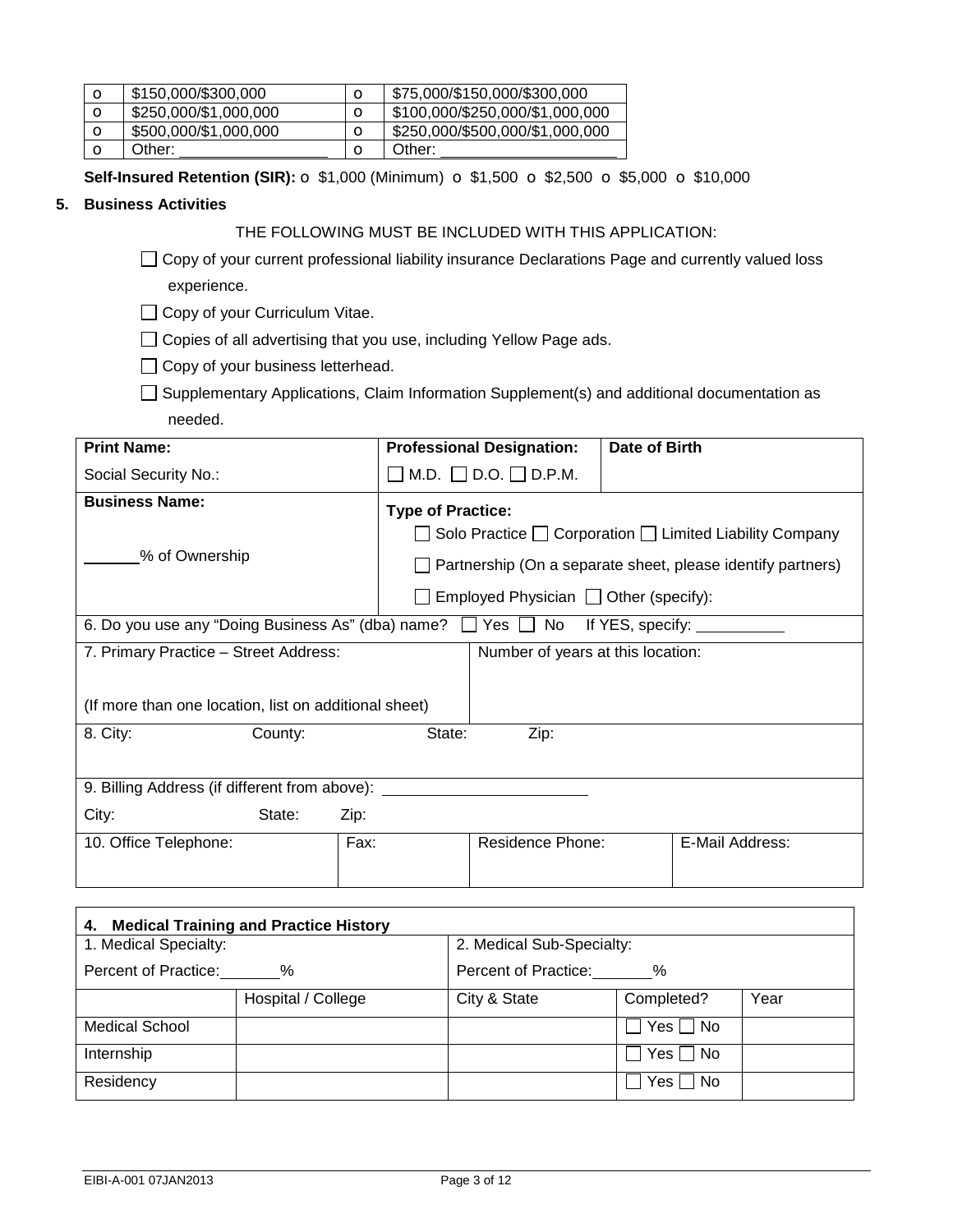| $\circ$ | \$150,000/\$300,000   | \$75,000/\$150,000/\$300,000    |
|---------|-----------------------|---------------------------------|
| $\circ$ | \$250,000/\$1,000,000 | \$100,000/\$250,000/\$1,000,000 |
| $\circ$ | \$500,000/\$1,000,000 | \$250,000/\$500,000/\$1,000,000 |
|         | Other:                | Other:                          |

**Self-Insured Retention (SIR):**  $\sigma$  **\$1,000 (Minimum)**  $\sigma$  **\$1,500**  $\sigma$  **\$2,500**  $\sigma$  **\$5,000**  $\sigma$  **\$10,000** 

#### **5. Business Activities**

### THE FOLLOWING MUST BE INCLUDED WITH THIS APPLICATION:

□ Copy of your current professional liability insurance Declarations Page and currently valued loss experience.

□ Copy of your Curriculum Vitae.

□ Copies of all advertising that you use, including Yellow Page ads.

 $\Box$  Copy of your business letterhead.

□ Supplementary Applications, Claim Information Supplement(s) and additional documentation as needed.

| <b>Print Name:</b>                                                                      | <b>Professional Designation:</b> |                                            | Date of Birth |                                                                   |  |
|-----------------------------------------------------------------------------------------|----------------------------------|--------------------------------------------|---------------|-------------------------------------------------------------------|--|
| Social Security No.:                                                                    | $\mathcal{L}$                    | M.D. $\Box$ D.O. $\Box$ D.P.M.             |               |                                                                   |  |
| <b>Business Name:</b>                                                                   | <b>Type of Practice:</b>         |                                            |               |                                                                   |  |
|                                                                                         |                                  |                                            |               | Solo Practice $\Box$ Corporation $\Box$ Limited Liability Company |  |
| % of Ownership                                                                          |                                  |                                            |               | Partnership (On a separate sheet, please identify partners)       |  |
|                                                                                         |                                  | Employed Physician $\Box$ Other (specify): |               |                                                                   |  |
| 6. Do you use any "Doing Business As" (dba) name? $\Box$ Yes $\Box$ No If YES, specify: |                                  |                                            |               |                                                                   |  |
| 7. Primary Practice - Street Address:                                                   |                                  | Number of years at this location:          |               |                                                                   |  |
|                                                                                         |                                  |                                            |               |                                                                   |  |
| (If more than one location, list on additional sheet)                                   |                                  |                                            |               |                                                                   |  |
| 8. City:<br>County:                                                                     | State:                           | Zip:                                       |               |                                                                   |  |
|                                                                                         |                                  |                                            |               |                                                                   |  |
| 9. Billing Address (if different from above): _____                                     |                                  |                                            |               |                                                                   |  |
| City:<br>State:                                                                         | Zip:                             |                                            |               |                                                                   |  |
| 10. Office Telephone:                                                                   | Fax:                             | Residence Phone:                           |               | E-Mail Address:                                                   |  |
|                                                                                         |                                  |                                            |               |                                                                   |  |

| <b>Medical Training and Practice History</b><br>4. |                    |                              |               |      |  |  |
|----------------------------------------------------|--------------------|------------------------------|---------------|------|--|--|
| 1. Medical Specialty:<br>2. Medical Sub-Specialty: |                    |                              |               |      |  |  |
| Percent of Practice:                               | %                  | Percent of Practice:<br>$\%$ |               |      |  |  |
|                                                    | Hospital / College | City & State                 | Completed?    | Year |  |  |
| <b>Medical School</b>                              |                    |                              | Yes     No    |      |  |  |
| Internship                                         |                    |                              | $Yes \Box No$ |      |  |  |
| Residency                                          |                    |                              | $Yes \Box No$ |      |  |  |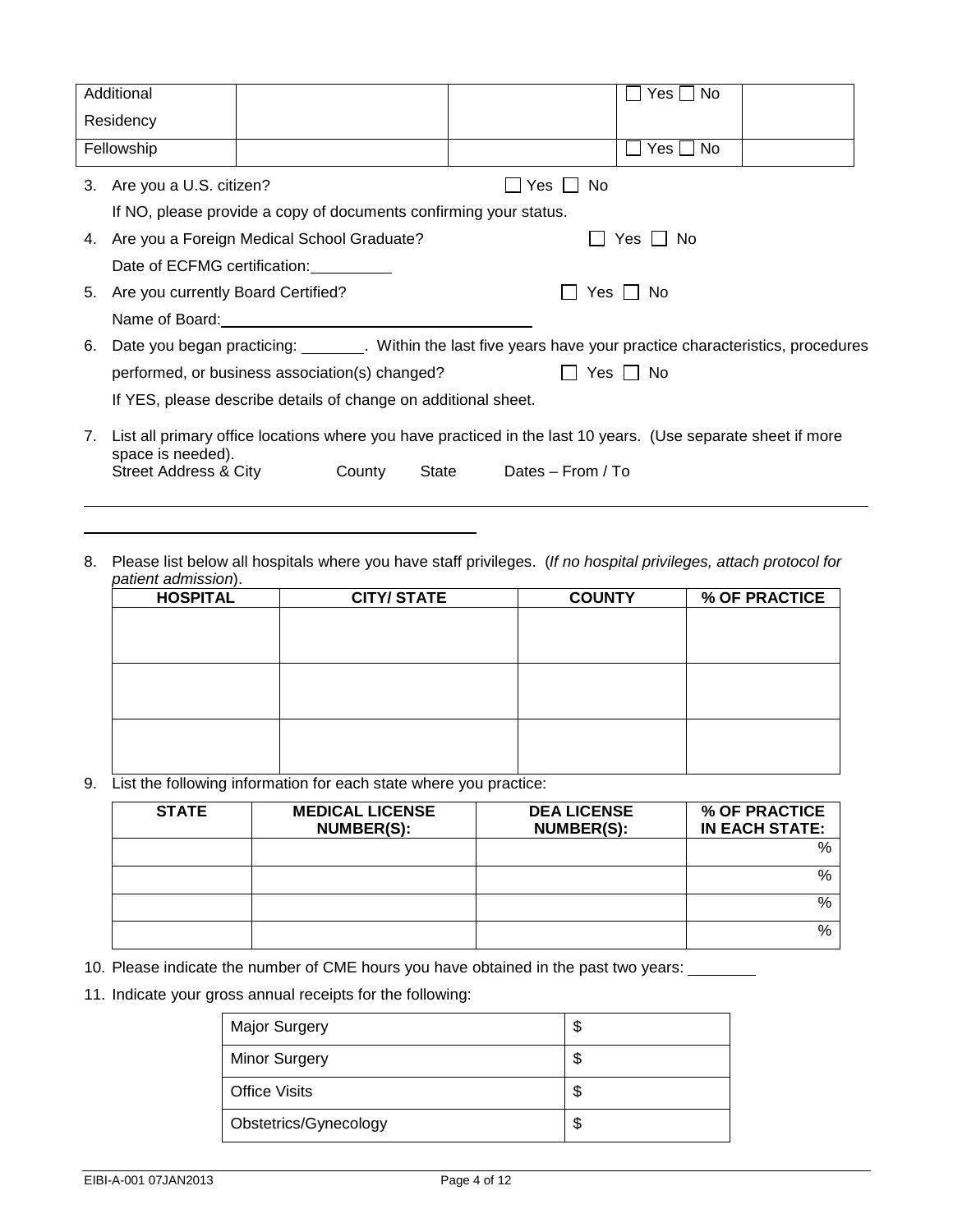|                                            | Additional                                                                                                                        |  |  |       |                   |              | $Yes \bigsqcup No$ |                                                                                                                |
|--------------------------------------------|-----------------------------------------------------------------------------------------------------------------------------------|--|--|-------|-------------------|--------------|--------------------|----------------------------------------------------------------------------------------------------------------|
|                                            | Residency                                                                                                                         |  |  |       |                   |              |                    |                                                                                                                |
|                                            | Fellowship                                                                                                                        |  |  |       |                   |              | $Yes \Box No$      |                                                                                                                |
| 3. Are you a U.S. citizen?<br>Yes l<br>No. |                                                                                                                                   |  |  |       |                   |              |                    |                                                                                                                |
|                                            | If NO, please provide a copy of documents confirming your status.                                                                 |  |  |       |                   |              |                    |                                                                                                                |
|                                            | 4. Are you a Foreign Medical School Graduate?                                                                                     |  |  |       |                   |              | Yes I I No         |                                                                                                                |
|                                            | Date of ECFMG certification:                                                                                                      |  |  |       |                   |              |                    |                                                                                                                |
|                                            | 5. Are you currently Board Certified?                                                                                             |  |  |       |                   | Yes I I No   |                    |                                                                                                                |
|                                            | Name of Board: <u>contained</u> and all the Manus and San Alberta and Theorem and Theorem and Theorem and Theorem and T           |  |  |       |                   |              |                    |                                                                                                                |
| 6.                                         |                                                                                                                                   |  |  |       |                   |              |                    | Date you began practicing: ________. Within the last five years have your practice characteristics, procedures |
|                                            | performed, or business association(s) changed?                                                                                    |  |  |       |                   | II Yes II No |                    |                                                                                                                |
|                                            | If YES, please describe details of change on additional sheet.                                                                    |  |  |       |                   |              |                    |                                                                                                                |
| 7.                                         | List all primary office locations where you have practiced in the last 10 years. (Use separate sheet if more<br>space is needed). |  |  |       |                   |              |                    |                                                                                                                |
|                                            | Street Address & City County                                                                                                      |  |  | State | Dates - From / To |              |                    |                                                                                                                |

8. Please list below all hospitals where you have staff privileges. (*If no hospital privileges, attach protocol for patient admission*).

| <b>HOSPITAL</b> | <b>CITY/STATE</b> | <b>COUNTY</b> | % OF PRACTICE |
|-----------------|-------------------|---------------|---------------|
|                 |                   |               |               |
|                 |                   |               |               |
|                 |                   |               |               |
|                 |                   |               |               |
|                 |                   |               |               |
|                 |                   |               |               |
|                 |                   |               |               |
|                 |                   |               |               |
|                 |                   |               |               |
|                 |                   |               |               |

9. List the following information for each state where you practice:

| <b>STATE</b> | <b>MEDICAL LICENSE</b><br>NUMBER(S): | <b>DEA LICENSE</b><br><b>NUMBER(S):</b> | % OF PRACTICE<br><b>IN EACH STATE:</b> |
|--------------|--------------------------------------|-----------------------------------------|----------------------------------------|
|              |                                      |                                         | $\%$                                   |
|              |                                      |                                         | $\%$                                   |
|              |                                      |                                         | $\%$                                   |
|              |                                      |                                         | %                                      |

10. Please indicate the number of CME hours you have obtained in the past two years:

11. Indicate your gross annual receipts for the following:

| <b>Major Surgery</b>  | \$ |
|-----------------------|----|
| <b>Minor Surgery</b>  | \$ |
| <b>Office Visits</b>  | \$ |
| Obstetrics/Gynecology | \$ |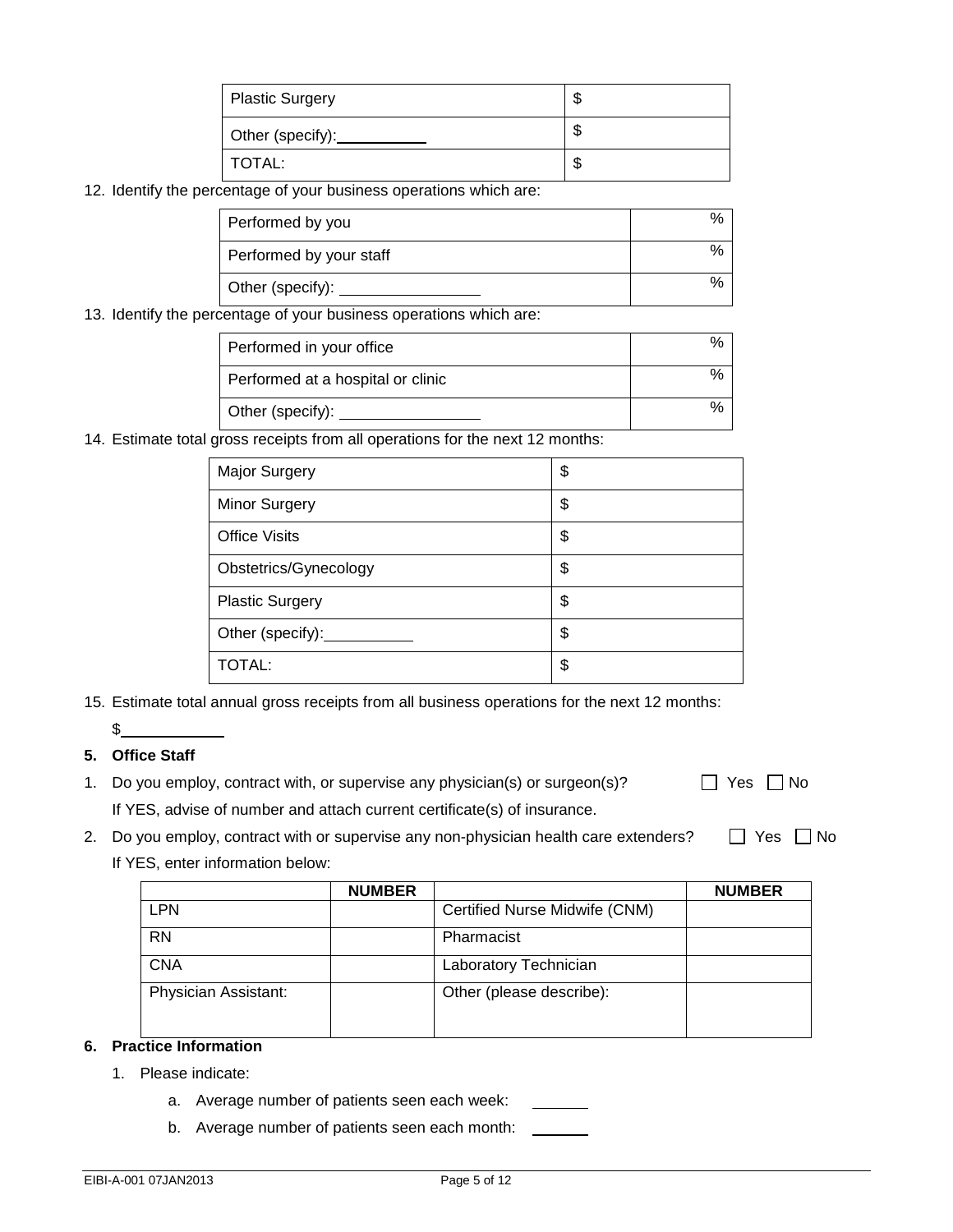| Plastic Surgery  | w  |
|------------------|----|
| Other (specify): | ٨D |
| TOTAL:           |    |

12. Identify the percentage of your business operations which are:

| Performed by you        |    |
|-------------------------|----|
| Performed by your staff | %  |
| Other (specify):        | ο, |

13. Identify the percentage of your business operations which are:

| Performed in your office          |   |
|-----------------------------------|---|
| Performed at a hospital or clinic |   |
| Other (specify):                  | % |

14. Estimate total gross receipts from all operations for the next 12 months:

| <b>Major Surgery</b>   | \$ |
|------------------------|----|
| <b>Minor Surgery</b>   | \$ |
| <b>Office Visits</b>   | \$ |
| Obstetrics/Gynecology  | \$ |
| <b>Plastic Surgery</b> | \$ |
| Other (specify):       | \$ |
| <b>TOTAL:</b>          | \$ |

15. Estimate total annual gross receipts from all business operations for the next 12 months:

 $\mathbb{S}$ 

## **5. Office Staff**

- 1. Do you employ, contract with, or supervise any physician(s) or surgeon(s)?  $\Box$  Yes  $\Box$  No If YES, advise of number and attach current certificate(s) of insurance.
- 2. Do you employ, contract with or supervise any non-physician health care extenders?  $\square$  Yes  $\square$  No If YES, enter information below:

|                      | <b>NUMBER</b> |                               | <b>NUMBER</b> |
|----------------------|---------------|-------------------------------|---------------|
| <b>LPN</b>           |               | Certified Nurse Midwife (CNM) |               |
| <b>RN</b>            |               | Pharmacist                    |               |
| <b>CNA</b>           |               | Laboratory Technician         |               |
| Physician Assistant: |               | Other (please describe):      |               |

## **6. Practice Information**

- 1. Please indicate:
	- a. Average number of patients seen each week:
	- b. Average number of patients seen each month: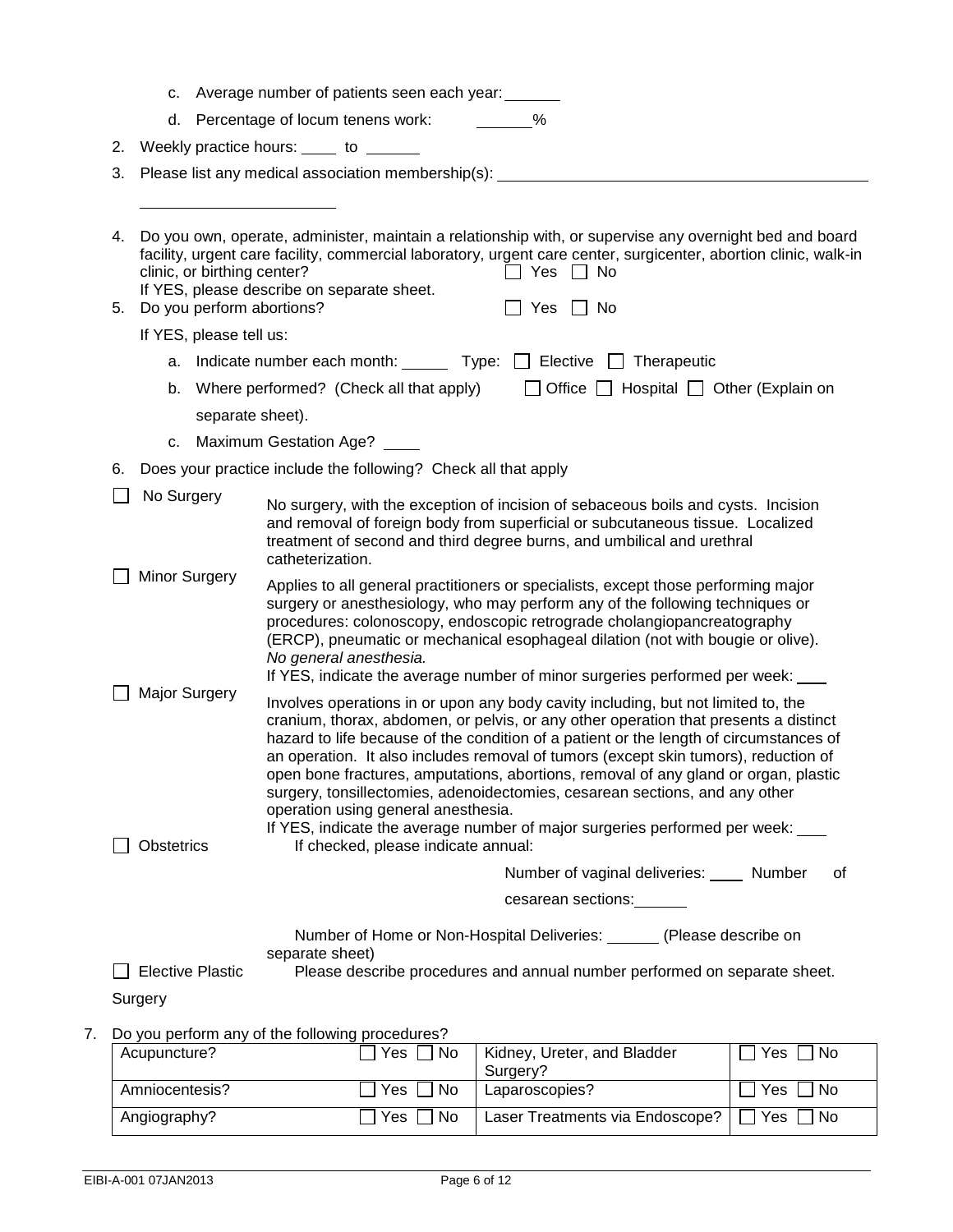|    |          | c.                          |                                                          | Average number of patients seen each year:                                 |                                                                                                                                                                                                                                                                                                                                                                                                                                                                                                                                                                                                                |           |
|----|----------|-----------------------------|----------------------------------------------------------|----------------------------------------------------------------------------|----------------------------------------------------------------------------------------------------------------------------------------------------------------------------------------------------------------------------------------------------------------------------------------------------------------------------------------------------------------------------------------------------------------------------------------------------------------------------------------------------------------------------------------------------------------------------------------------------------------|-----------|
|    |          | d.                          |                                                          | Percentage of locum tenens work: ________%                                 |                                                                                                                                                                                                                                                                                                                                                                                                                                                                                                                                                                                                                |           |
|    | 2.       |                             |                                                          | Weekly practice hours: _____ to ______                                     |                                                                                                                                                                                                                                                                                                                                                                                                                                                                                                                                                                                                                |           |
|    | 3.       |                             |                                                          | Please list any medical association membership(s): _________               |                                                                                                                                                                                                                                                                                                                                                                                                                                                                                                                                                                                                                |           |
|    |          |                             |                                                          |                                                                            |                                                                                                                                                                                                                                                                                                                                                                                                                                                                                                                                                                                                                |           |
|    | 4.<br>5. |                             | clinic, or birthing center?<br>Do you perform abortions? | If YES, please describe on separate sheet.                                 | Do you own, operate, administer, maintain a relationship with, or supervise any overnight bed and board<br>facility, urgent care facility, commercial laboratory, urgent care center, surgicenter, abortion clinic, walk-in<br>Yes $\Box$ No<br>Yes $\Box$ No                                                                                                                                                                                                                                                                                                                                                  |           |
|    |          |                             | If YES, please tell us:                                  |                                                                            |                                                                                                                                                                                                                                                                                                                                                                                                                                                                                                                                                                                                                |           |
|    |          | а.                          |                                                          |                                                                            | Indicate number each month: $\Box$ Type: $\Box$ Elective $\Box$ Therapeutic                                                                                                                                                                                                                                                                                                                                                                                                                                                                                                                                    |           |
|    |          | b.                          |                                                          | Where performed? (Check all that apply)                                    | $\Box$ Office $\Box$ Hospital $\Box$ Other (Explain on                                                                                                                                                                                                                                                                                                                                                                                                                                                                                                                                                         |           |
|    |          |                             | separate sheet).                                         |                                                                            |                                                                                                                                                                                                                                                                                                                                                                                                                                                                                                                                                                                                                |           |
|    |          | c.                          |                                                          | Maximum Gestation Age? ____                                                |                                                                                                                                                                                                                                                                                                                                                                                                                                                                                                                                                                                                                |           |
|    | 6.       |                             |                                                          | Does your practice include the following? Check all that apply             |                                                                                                                                                                                                                                                                                                                                                                                                                                                                                                                                                                                                                |           |
|    |          | No Surgery                  |                                                          | catheterization.                                                           | No surgery, with the exception of incision of sebaceous boils and cysts. Incision<br>and removal of foreign body from superficial or subcutaneous tissue. Localized<br>treatment of second and third degree burns, and umbilical and urethral                                                                                                                                                                                                                                                                                                                                                                  |           |
|    |          | Minor Surgery               |                                                          | No general anesthesia.                                                     | Applies to all general practitioners or specialists, except those performing major<br>surgery or anesthesiology, who may perform any of the following techniques or<br>procedures: colonoscopy, endoscopic retrograde cholangiopancreatography<br>(ERCP), pneumatic or mechanical esophageal dilation (not with bougie or olive).<br>If YES, indicate the average number of minor surgeries performed per week: ____                                                                                                                                                                                           |           |
|    |          | Major Surgery<br>Obstetrics |                                                          | operation using general anesthesia.<br>If checked, please indicate annual: | Involves operations in or upon any body cavity including, but not limited to, the<br>cranium, thorax, abdomen, or pelvis, or any other operation that presents a distinct<br>hazard to life because of the condition of a patient or the length of circumstances of<br>an operation. It also includes removal of tumors (except skin tumors), reduction of<br>open bone fractures, amputations, abortions, removal of any gland or organ, plastic<br>surgery, tonsillectomies, adenoidectomies, cesarean sections, and any other<br>If YES, indicate the average number of major surgeries performed per week: |           |
|    |          |                             |                                                          |                                                                            | Number of vaginal deliveries: Number                                                                                                                                                                                                                                                                                                                                                                                                                                                                                                                                                                           | 0f        |
|    |          |                             |                                                          |                                                                            | cesarean sections:                                                                                                                                                                                                                                                                                                                                                                                                                                                                                                                                                                                             |           |
|    | Surgery  |                             | <b>Elective Plastic</b>                                  | separate sheet)                                                            | Number of Home or Non-Hospital Deliveries: (Please describe on<br>Please describe procedures and annual number performed on separate sheet.                                                                                                                                                                                                                                                                                                                                                                                                                                                                    |           |
| 7. |          |                             |                                                          | Do you perform any of the following procedures?                            |                                                                                                                                                                                                                                                                                                                                                                                                                                                                                                                                                                                                                |           |
|    |          | Acupuncture?                |                                                          | Yes<br>No                                                                  | Kidney, Ureter, and Bladder<br>Surgery?                                                                                                                                                                                                                                                                                                                                                                                                                                                                                                                                                                        | Yes<br>No |
|    |          | Amniocentesis?              |                                                          | No<br>Yes                                                                  | Laparoscopies?                                                                                                                                                                                                                                                                                                                                                                                                                                                                                                                                                                                                 | Yes<br>No |

Angiography? Yes No Laser Treatments via Endoscope? Yes No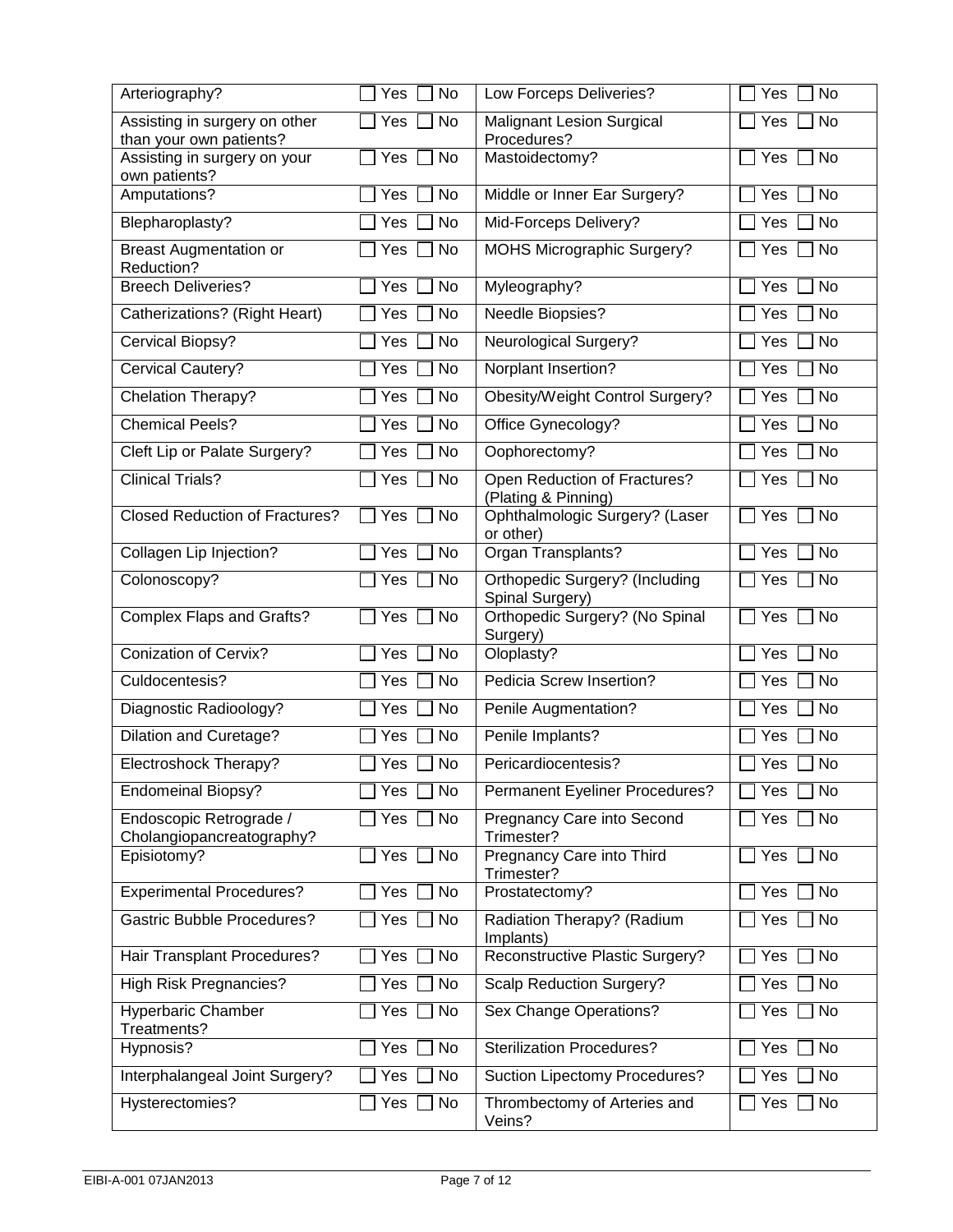| Arteriography?                                       | <b>No</b><br>Yes | Low Forceps Deliveries?                                  | Yes<br>No               |
|------------------------------------------------------|------------------|----------------------------------------------------------|-------------------------|
| Assisting in surgery on other                        | Yes<br><b>No</b> | <b>Malignant Lesion Surgical</b>                         | Yes<br>No               |
| than your own patients?                              |                  | Procedures?                                              |                         |
| Assisting in surgery on your<br>own patients?        | <b>No</b><br>Yes | Mastoidectomy?                                           | <b>No</b><br>Yes        |
| Amputations?                                         | <b>No</b><br>Yes | Middle or Inner Ear Surgery?                             | <b>No</b><br>Yes        |
| Blepharoplasty?                                      | No<br>Yes        | Mid-Forceps Delivery?                                    | No<br>Yes               |
| <b>Breast Augmentation or</b><br>Reduction?          | No<br>Yes        | <b>MOHS Micrographic Surgery?</b>                        | No<br>Yes               |
| <b>Breech Deliveries?</b>                            | Yes<br>No        | Myleography?                                             | <b>No</b><br>Yes        |
| Catherizations? (Right Heart)                        | Yes<br>No        | Needle Biopsies?                                         | <b>No</b><br>Yes        |
| Cervical Biopsy?                                     | No<br>Yes        | <b>Neurological Surgery?</b>                             | <b>No</b><br>Yes        |
| Cervical Cautery?                                    | Yes<br><b>No</b> | Norplant Insertion?                                      | <b>No</b><br>Yes        |
| Chelation Therapy?                                   | Yes<br>No        | <b>Obesity/Weight Control Surgery?</b>                   | Yes<br>No               |
| <b>Chemical Peels?</b>                               | Yes<br>No        | Office Gynecology?                                       | Yes<br>No               |
| Cleft Lip or Palate Surgery?                         | No<br>Yes        | Oophorectomy?                                            | No<br>Yes               |
| <b>Clinical Trials?</b>                              | Yes<br>No        | Open Reduction of Fractures?<br>(Plating & Pinning)      | Yes<br>No               |
| <b>Closed Reduction of Fractures?</b>                | Yes<br>No        | Ophthalmologic Surgery? (Laser<br>or other)              | Yes<br>No               |
| Collagen Lip Injection?                              | No<br>Yes        | Organ Transplants?                                       | No<br>Yes               |
| Colonoscopy?                                         | <b>No</b><br>Yes | <b>Orthopedic Surgery? (Including</b><br>Spinal Surgery) | No<br>Yes               |
| <b>Complex Flaps and Grafts?</b>                     | Yes<br>No        | Orthopedic Surgery? (No Spinal<br>Surgery)               | <b>No</b><br>$\Box$ Yes |
| <b>Conization of Cervix?</b>                         | No<br>Yes        | Oloplasty?                                               | No<br>Yes               |
| Culdocentesis?                                       | Yes<br><b>No</b> | Pedicia Screw Insertion?                                 | <b>No</b><br>Yes        |
| Diagnostic Radioology?                               | <b>No</b><br>Yes | Penile Augmentation?                                     | No<br>Yes               |
| <b>Dilation and Curetage?</b>                        | <b>Yes</b><br>No | Penile Implants?                                         | Yes<br>No               |
| Electroshock Therapy?                                | <b>No</b><br>Yes | Pericardiocentesis?                                      | No<br>Yes               |
| <b>Endomeinal Biopsy?</b>                            | No<br>Yes        | Permanent Eyeliner Procedures?                           | No<br>Yes               |
| Endoscopic Retrograde /<br>Cholangiopancreatography? | No<br>Yes        | Pregnancy Care into Second<br>Trimester?                 | No<br>Yes               |
| Episiotomy?                                          | Yes<br>No        | Pregnancy Care into Third<br>Trimester?                  | No<br>Yes               |
| <b>Experimental Procedures?</b>                      | No<br>Yes        | Prostatectomy?                                           | Yes<br>No               |
| <b>Gastric Bubble Procedures?</b>                    | Yes<br>No        | Radiation Therapy? (Radium<br>Implants)                  | No<br>Yes               |
| Hair Transplant Procedures?                          | Yes<br>No        | Reconstructive Plastic Surgery?                          | Yes<br>No               |
| High Risk Pregnancies?                               | No<br>Yes        | <b>Scalp Reduction Surgery?</b>                          | Yes<br>No               |
| <b>Hyperbaric Chamber</b><br>Treatments?             | Yes<br>No        | Sex Change Operations?                                   | No<br>Yes               |
| Hypnosis?                                            | Yes<br>No        | <b>Sterilization Procedures?</b>                         | No<br>Yes               |
| Interphalangeal Joint Surgery?                       | Yes<br>No        | Suction Lipectomy Procedures?                            | No<br>Yes               |
| Hysterectomies?                                      | Yes<br>No        | Thrombectomy of Arteries and<br>Veins?                   | Yes<br>No               |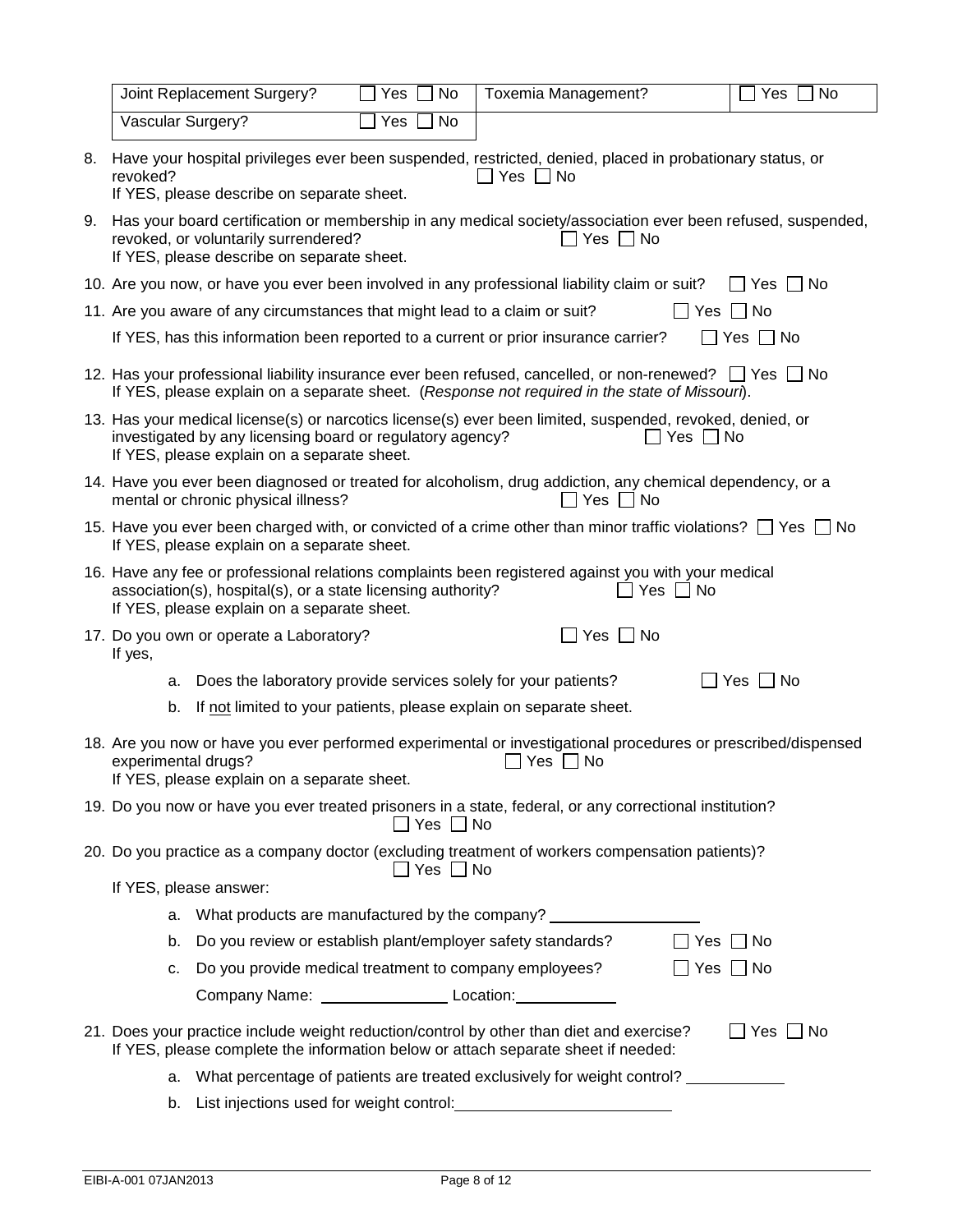|    |                                                                                                                                                                                                                                            | Joint Replacement Surgery?                                                                                                                                              | Yes | No                   | Toxemia Management?                                                                                                                                                                                     |                      | Yes<br>No     |  |
|----|--------------------------------------------------------------------------------------------------------------------------------------------------------------------------------------------------------------------------------------------|-------------------------------------------------------------------------------------------------------------------------------------------------------------------------|-----|----------------------|---------------------------------------------------------------------------------------------------------------------------------------------------------------------------------------------------------|----------------------|---------------|--|
|    | Vascular Surgery?                                                                                                                                                                                                                          |                                                                                                                                                                         | Yes | No                   |                                                                                                                                                                                                         |                      |               |  |
| 8. | revoked?                                                                                                                                                                                                                                   | Have your hospital privileges ever been suspended, restricted, denied, placed in probationary status, or<br>Yes $\Box$ No<br>If YES, please describe on separate sheet. |     |                      |                                                                                                                                                                                                         |                      |               |  |
| 9. |                                                                                                                                                                                                                                            | revoked, or voluntarily surrendered?<br>If YES, please describe on separate sheet.                                                                                      |     |                      | Has your board certification or membership in any medical society/association ever been refused, suspended,<br>Yes $\Box$ No                                                                            |                      |               |  |
|    |                                                                                                                                                                                                                                            |                                                                                                                                                                         |     |                      | 10. Are you now, or have you ever been involved in any professional liability claim or suit?                                                                                                            |                      | No<br>l Yes   |  |
|    |                                                                                                                                                                                                                                            | 11. Are you aware of any circumstances that might lead to a claim or suit?                                                                                              |     |                      |                                                                                                                                                                                                         | $\Box$ Yes $\Box$ No |               |  |
|    |                                                                                                                                                                                                                                            |                                                                                                                                                                         |     |                      | If YES, has this information been reported to a current or prior insurance carrier?                                                                                                                     |                      | Yes     No    |  |
|    |                                                                                                                                                                                                                                            |                                                                                                                                                                         |     |                      | 12. Has your professional liability insurance ever been refused, cancelled, or non-renewed? [ Yes I No<br>If YES, please explain on a separate sheet. (Response not required in the state of Missouri). |                      |               |  |
|    |                                                                                                                                                                                                                                            | investigated by any licensing board or regulatory agency?<br>If YES, please explain on a separate sheet.                                                                |     |                      | 13. Has your medical license(s) or narcotics license(s) ever been limited, suspended, revoked, denied, or                                                                                               | Yes $\Box$ No        |               |  |
|    |                                                                                                                                                                                                                                            | mental or chronic physical illness?                                                                                                                                     |     |                      | 14. Have you ever been diagnosed or treated for alcoholism, drug addiction, any chemical dependency, or a<br>Yes $\Box$ No                                                                              |                      |               |  |
|    | 15. Have you ever been charged with, or convicted of a crime other than minor traffic violations? $\Box$ Yes $\Box$ No<br>If YES, please explain on a separate sheet.                                                                      |                                                                                                                                                                         |     |                      |                                                                                                                                                                                                         |                      |               |  |
|    | 16. Have any fee or professional relations complaints been registered against you with your medical<br>association(s), hospital(s), or a state licensing authority?<br>$\Box$ Yes $\Box$ No<br>If YES, please explain on a separate sheet. |                                                                                                                                                                         |     |                      |                                                                                                                                                                                                         |                      |               |  |
|    | Yes $\Box$ No<br>17. Do you own or operate a Laboratory?<br>If yes,                                                                                                                                                                        |                                                                                                                                                                         |     |                      |                                                                                                                                                                                                         |                      |               |  |
|    | а.                                                                                                                                                                                                                                         | Does the laboratory provide services solely for your patients?                                                                                                          |     |                      |                                                                                                                                                                                                         |                      | Yes $\Box$ No |  |
|    | b.                                                                                                                                                                                                                                         |                                                                                                                                                                         |     |                      | If not limited to your patients, please explain on separate sheet.                                                                                                                                      |                      |               |  |
|    | experimental drugs?                                                                                                                                                                                                                        | If YES, please explain on a separate sheet.                                                                                                                             |     |                      | 18. Are you now or have you ever performed experimental or investigational procedures or prescribed/dispensed<br>]Yes □ No                                                                              |                      |               |  |
|    |                                                                                                                                                                                                                                            |                                                                                                                                                                         |     | $\Box$ Yes $\Box$ No | 19. Do you now or have you ever treated prisoners in a state, federal, or any correctional institution?                                                                                                 |                      |               |  |
|    |                                                                                                                                                                                                                                            |                                                                                                                                                                         |     | Yes $\Box$ No        | 20. Do you practice as a company doctor (excluding treatment of workers compensation patients)?                                                                                                         |                      |               |  |
|    |                                                                                                                                                                                                                                            | If YES, please answer:                                                                                                                                                  |     |                      |                                                                                                                                                                                                         |                      |               |  |
|    | а.                                                                                                                                                                                                                                         |                                                                                                                                                                         |     |                      | What products are manufactured by the company? ______________                                                                                                                                           |                      |               |  |
|    | b.                                                                                                                                                                                                                                         | Do you review or establish plant/employer safety standards?                                                                                                             |     |                      |                                                                                                                                                                                                         | Yes     No           |               |  |
|    | с.                                                                                                                                                                                                                                         | Do you provide medical treatment to company employees?                                                                                                                  |     |                      |                                                                                                                                                                                                         | $\Box$ Yes $\Box$ No |               |  |
|    |                                                                                                                                                                                                                                            | Company Name: _________________________Location:________________________________                                                                                        |     |                      |                                                                                                                                                                                                         |                      |               |  |
|    |                                                                                                                                                                                                                                            |                                                                                                                                                                         |     |                      | 21. Does your practice include weight reduction/control by other than diet and exercise?<br>If YES, please complete the information below or attach separate sheet if needed:                           |                      | ∐ Yes ∐ No    |  |
|    | a.                                                                                                                                                                                                                                         |                                                                                                                                                                         |     |                      | What percentage of patients are treated exclusively for weight control?                                                                                                                                 |                      |               |  |
|    | b.                                                                                                                                                                                                                                         |                                                                                                                                                                         |     |                      |                                                                                                                                                                                                         |                      |               |  |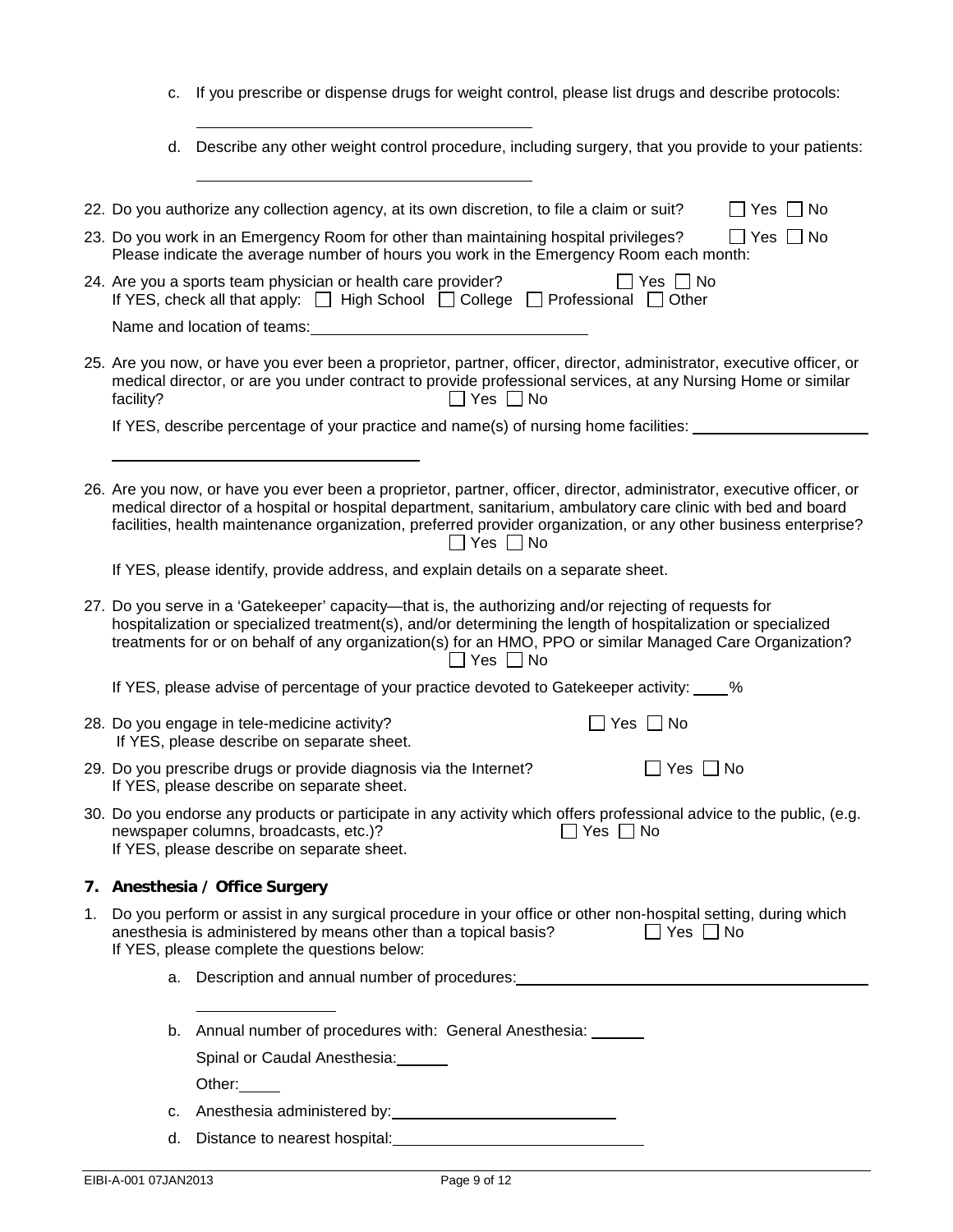- c. If you prescribe or dispense drugs for weight control, please list drugs and describe protocols:
- d. Describe any other weight control procedure, including surgery, that you provide to your patients:

|    |                                                                                                                                                                                                                                                                                                                                                    | 22. Do you authorize any collection agency, at its own discretion, to file a claim or suit?<br>$\Box$ Yes $\Box$ No                                                                                                                                                                                                                                                              |  |  |  |  |  |  |
|----|----------------------------------------------------------------------------------------------------------------------------------------------------------------------------------------------------------------------------------------------------------------------------------------------------------------------------------------------------|----------------------------------------------------------------------------------------------------------------------------------------------------------------------------------------------------------------------------------------------------------------------------------------------------------------------------------------------------------------------------------|--|--|--|--|--|--|
|    |                                                                                                                                                                                                                                                                                                                                                    | 23. Do you work in an Emergency Room for other than maintaining hospital privileges?<br>$\Box$ Yes $\Box$ No<br>Please indicate the average number of hours you work in the Emergency Room each month:                                                                                                                                                                           |  |  |  |  |  |  |
|    | 24. Are you a sports team physician or health care provider?<br>$\Box$ Yes $\Box$ No<br>If YES, check all that apply: $\Box$ High School $\Box$ College $\Box$ Professional $\Box$ Other                                                                                                                                                           |                                                                                                                                                                                                                                                                                                                                                                                  |  |  |  |  |  |  |
|    | Name and location of teams:                                                                                                                                                                                                                                                                                                                        |                                                                                                                                                                                                                                                                                                                                                                                  |  |  |  |  |  |  |
|    | facility?                                                                                                                                                                                                                                                                                                                                          | 25. Are you now, or have you ever been a proprietor, partner, officer, director, administrator, executive officer, or<br>medical director, or are you under contract to provide professional services, at any Nursing Home or similar<br>$\Box$ Yes $\Box$ No                                                                                                                    |  |  |  |  |  |  |
|    |                                                                                                                                                                                                                                                                                                                                                    | If YES, describe percentage of your practice and name(s) of nursing home facilities:                                                                                                                                                                                                                                                                                             |  |  |  |  |  |  |
|    |                                                                                                                                                                                                                                                                                                                                                    |                                                                                                                                                                                                                                                                                                                                                                                  |  |  |  |  |  |  |
|    |                                                                                                                                                                                                                                                                                                                                                    | 26. Are you now, or have you ever been a proprietor, partner, officer, director, administrator, executive officer, or<br>medical director of a hospital or hospital department, sanitarium, ambulatory care clinic with bed and board<br>facilities, health maintenance organization, preferred provider organization, or any other business enterprise?<br>$\Box$ Yes $\Box$ No |  |  |  |  |  |  |
|    |                                                                                                                                                                                                                                                                                                                                                    | If YES, please identify, provide address, and explain details on a separate sheet.                                                                                                                                                                                                                                                                                               |  |  |  |  |  |  |
|    | 27. Do you serve in a 'Gatekeeper' capacity—that is, the authorizing and/or rejecting of requests for<br>hospitalization or specialized treatment(s), and/or determining the length of hospitalization or specialized<br>treatments for or on behalf of any organization(s) for an HMO, PPO or similar Managed Care Organization?<br>Yes $\Box$ No |                                                                                                                                                                                                                                                                                                                                                                                  |  |  |  |  |  |  |
|    |                                                                                                                                                                                                                                                                                                                                                    | If YES, please advise of percentage of your practice devoted to Gatekeeper activity: ____%                                                                                                                                                                                                                                                                                       |  |  |  |  |  |  |
|    |                                                                                                                                                                                                                                                                                                                                                    | 28. Do you engage in tele-medicine activity?<br>$\Box$ Yes $\Box$ No<br>If YES, please describe on separate sheet.                                                                                                                                                                                                                                                               |  |  |  |  |  |  |
|    | 29. Do you prescribe drugs or provide diagnosis via the Internet?<br>$\Box$ Yes $\Box$ No<br>If YES, please describe on separate sheet.                                                                                                                                                                                                            |                                                                                                                                                                                                                                                                                                                                                                                  |  |  |  |  |  |  |
|    | 30. Do you endorse any products or participate in any activity which offers professional advice to the public, (e.g.<br>newspaper columns, broadcasts, etc.)?<br>$\Box$ Yes $\Box$ No<br>If YES, please describe on separate sheet.                                                                                                                |                                                                                                                                                                                                                                                                                                                                                                                  |  |  |  |  |  |  |
|    |                                                                                                                                                                                                                                                                                                                                                    | 7. Anesthesia / Office Surgery                                                                                                                                                                                                                                                                                                                                                   |  |  |  |  |  |  |
| 1. | Do you perform or assist in any surgical procedure in your office or other non-hospital setting, during which<br>anesthesia is administered by means other than a topical basis?<br>$\Box$ Yes $\Box$ No<br>If YES, please complete the questions below:                                                                                           |                                                                                                                                                                                                                                                                                                                                                                                  |  |  |  |  |  |  |
|    | a.                                                                                                                                                                                                                                                                                                                                                 | Description and annual number of procedures: New York Changes and Security Assembly Description and annual number of procedures:                                                                                                                                                                                                                                                 |  |  |  |  |  |  |
|    |                                                                                                                                                                                                                                                                                                                                                    |                                                                                                                                                                                                                                                                                                                                                                                  |  |  |  |  |  |  |
|    |                                                                                                                                                                                                                                                                                                                                                    | Annual number of procedures with: General Anesthesia: ______<br>b.                                                                                                                                                                                                                                                                                                               |  |  |  |  |  |  |
|    |                                                                                                                                                                                                                                                                                                                                                    | Spinal or Caudal Anesthesia: _____                                                                                                                                                                                                                                                                                                                                               |  |  |  |  |  |  |
|    |                                                                                                                                                                                                                                                                                                                                                    | Other: $\qquad \qquad$                                                                                                                                                                                                                                                                                                                                                           |  |  |  |  |  |  |
|    | c.                                                                                                                                                                                                                                                                                                                                                 |                                                                                                                                                                                                                                                                                                                                                                                  |  |  |  |  |  |  |
|    | d.                                                                                                                                                                                                                                                                                                                                                 | Distance to nearest hospital: Distance is a series of the series of the series of the series of the series of the series of the series of the series of the series of the series of the series of the series of the series of                                                                                                                                                    |  |  |  |  |  |  |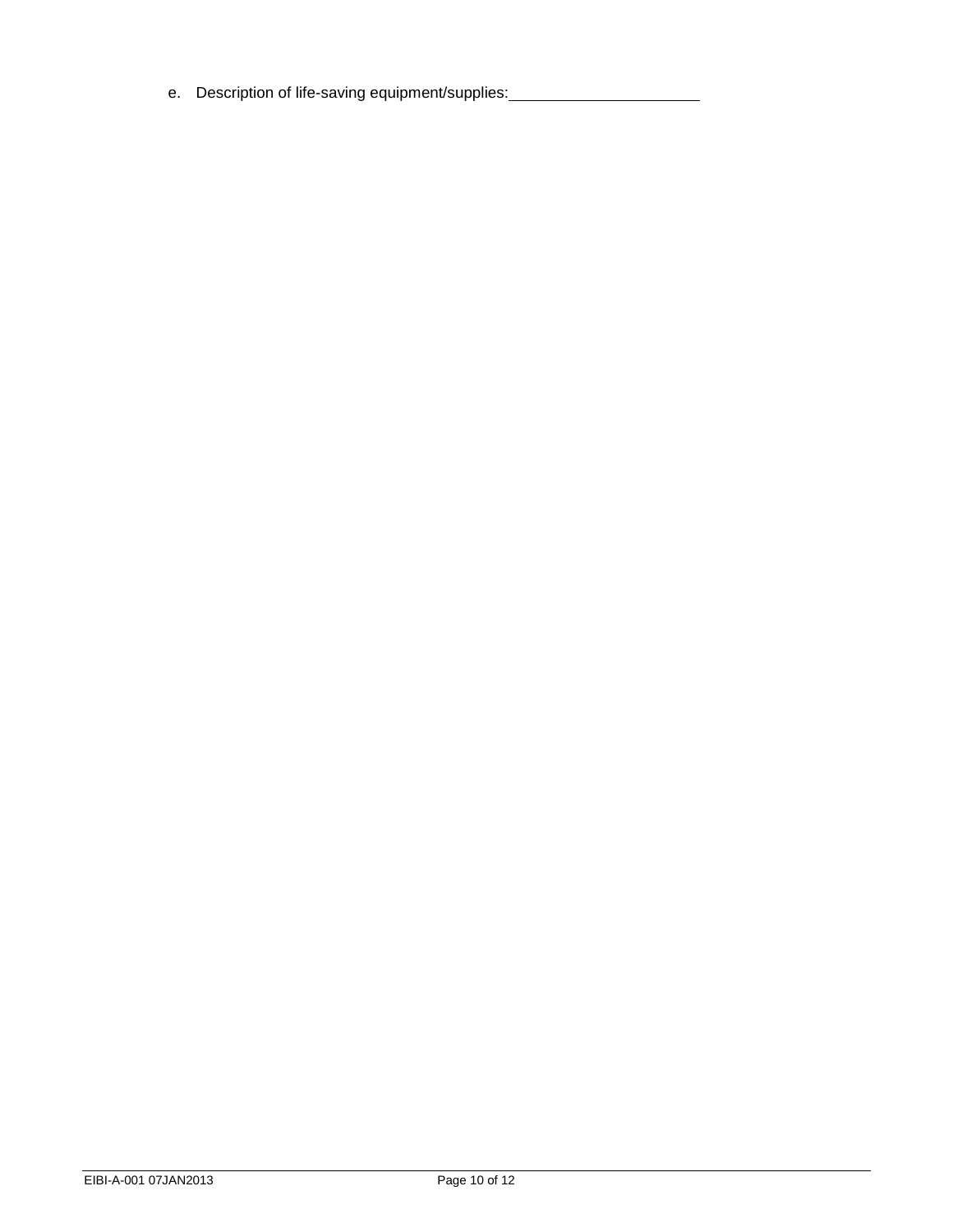e. Description of life-saving equipment/supplies: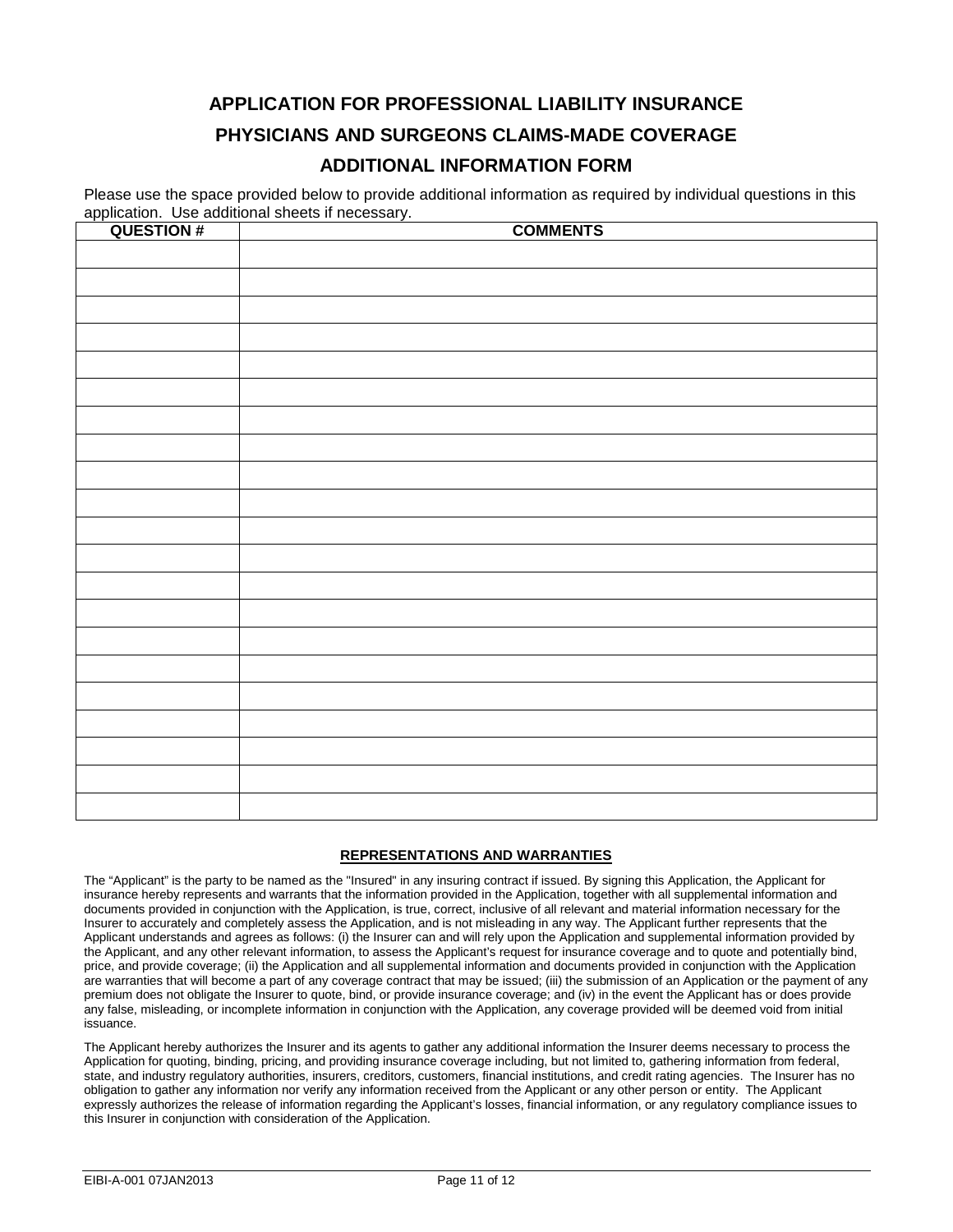# **APPLICATION FOR PROFESSIONAL LIABILITY INSURANCE PHYSICIANS AND SURGEONS CLAIMS-MADE COVERAGE**

## **ADDITIONAL INFORMATION FORM**

Please use the space provided below to provide additional information as required by individual questions in this application. Use additional sheets if necessary.

| <b>QUESTION#</b> | <b>COMMENTS</b> |
|------------------|-----------------|
|                  |                 |
|                  |                 |
|                  |                 |
|                  |                 |
|                  |                 |
|                  |                 |
|                  |                 |
|                  |                 |
|                  |                 |
|                  |                 |
|                  |                 |
|                  |                 |
|                  |                 |
|                  |                 |
|                  |                 |
|                  |                 |
|                  |                 |
|                  |                 |
|                  |                 |
|                  |                 |
|                  |                 |
|                  |                 |
|                  |                 |
|                  |                 |
|                  |                 |
|                  |                 |

#### **REPRESENTATIONS AND WARRANTIES**

The "Applicant" is the party to be named as the "Insured" in any insuring contract if issued. By signing this Application, the Applicant for insurance hereby represents and warrants that the information provided in the Application, together with all supplemental information and documents provided in conjunction with the Application, is true, correct, inclusive of all relevant and material information necessary for the Insurer to accurately and completely assess the Application, and is not misleading in any way. The Applicant further represents that the Applicant understands and agrees as follows: (i) the Insurer can and will rely upon the Application and supplemental information provided by the Applicant, and any other relevant information, to assess the Applicant's request for insurance coverage and to quote and potentially bind, price, and provide coverage; (ii) the Application and all supplemental information and documents provided in conjunction with the Application are warranties that will become a part of any coverage contract that may be issued; (iii) the submission of an Application or the payment of any premium does not obligate the Insurer to quote, bind, or provide insurance coverage; and (iv) in the event the Applicant has or does provide any false, misleading, or incomplete information in conjunction with the Application, any coverage provided will be deemed void from initial issuance.

The Applicant hereby authorizes the Insurer and its agents to gather any additional information the Insurer deems necessary to process the Application for quoting, binding, pricing, and providing insurance coverage including, but not limited to, gathering information from federal, state, and industry regulatory authorities, insurers, creditors, customers, financial institutions, and credit rating agencies. The Insurer has no obligation to gather any information nor verify any information received from the Applicant or any other person or entity. The Applicant expressly authorizes the release of information regarding the Applicant's losses, financial information, or any regulatory compliance issues to this Insurer in conjunction with consideration of the Application.